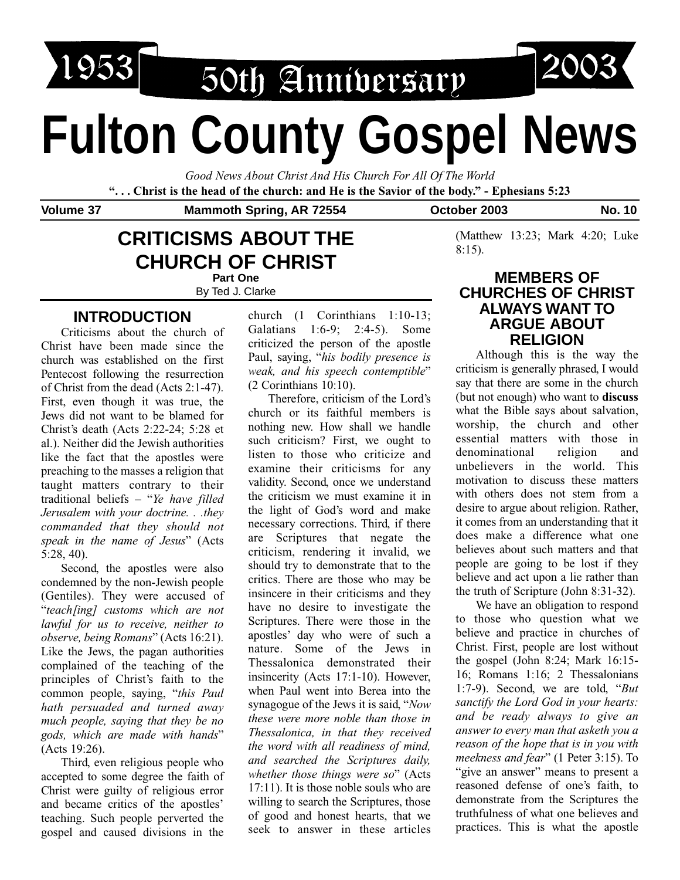

1953 50th Annibersary

# **Fulton County Gospel News**

*Good News About Christ And His Church For All Of The World* **". . . Christ is the head of the church: and He is the Savior of the body." - Ephesians 5:23**

Volume 37 Mammoth Spring, AR 72554 **October 2003** No. 10

8:15).

## **CRITICISMS ABOUT THE CHURCH OF CHRIST Part One**

By Ted J. Clarke

# **INTRODUCTION**

Criticisms about the church of Christ have been made since the church was established on the first Pentecost following the resurrection of Christ from the dead (Acts 2:1-47). First, even though it was true, the Jews did not want to be blamed for Christ's death (Acts 2:22-24; 5:28 et al.). Neither did the Jewish authorities like the fact that the apostles were preaching to the masses a religion that taught matters contrary to their traditional beliefs – "*Ye have filled Jerusalem with your doctrine. . .they commanded that they should not speak in the name of Jesus*" (Acts 5:28, 40).

Second, the apostles were also condemned by the non-Jewish people (Gentiles). They were accused of "*teach[ing] customs which are not lawful for us to receive, neither to observe, being Romans*" (Acts 16:21). Like the Jews, the pagan authorities complained of the teaching of the principles of Christ's faith to the common people, saying, "*this Paul hath persuaded and turned away much people, saying that they be no gods, which are made with hands*" (Acts 19:26).

Third, even religious people who accepted to some degree the faith of Christ were guilty of religious error and became critics of the apostles' teaching. Such people perverted the gospel and caused divisions in the church (1 Corinthians 1:10-13; Galatians 1:6-9; 2:4-5). Some criticized the person of the apostle Paul, saying, "*his bodily presence is weak, and his speech contemptible*" (2 Corinthians 10:10).

Therefore, criticism of the Lord's church or its faithful members is nothing new. How shall we handle such criticism? First, we ought to listen to those who criticize and examine their criticisms for any validity. Second, once we understand the criticism we must examine it in the light of God's word and make necessary corrections. Third, if there are Scriptures that negate the criticism, rendering it invalid, we should try to demonstrate that to the critics. There are those who may be insincere in their criticisms and they have no desire to investigate the Scriptures. There were those in the apostles' day who were of such a nature. Some of the Jews in Thessalonica demonstrated their insincerity (Acts 17:1-10). However, when Paul went into Berea into the synagogue of the Jews it is said, "*Now these were more noble than those in Thessalonica, in that they received the word with all readiness of mind, and searched the Scriptures daily, whether those things were so*" (Acts 17:11). It is those noble souls who are willing to search the Scriptures, those of good and honest hearts, that we seek to answer in these articles

#### **MEMBERS OF CHURCHES OF CHRIST ALWAYS WANT TO ARGUE ABOUT RELIGION**

(Matthew 13:23; Mark 4:20; Luke

Although this is the way the criticism is generally phrased, I would say that there are some in the church (but not enough) who want to **discuss** what the Bible says about salvation, worship, the church and other essential matters with those in denominational religion and unbelievers in the world. This motivation to discuss these matters with others does not stem from a desire to argue about religion. Rather, it comes from an understanding that it does make a difference what one believes about such matters and that people are going to be lost if they believe and act upon a lie rather than the truth of Scripture (John 8:31-32).

We have an obligation to respond to those who question what we believe and practice in churches of Christ. First, people are lost without the gospel (John 8:24; Mark 16:15- 16; Romans 1:16; 2 Thessalonians 1:7-9). Second, we are told, "*But sanctify the Lord God in your hearts: and be ready always to give an answer to every man that asketh you a reason of the hope that is in you with meekness and fear*" (1 Peter 3:15). To "give an answer" means to present a reasoned defense of one's faith, to demonstrate from the Scriptures the truthfulness of what one believes and practices. This is what the apostle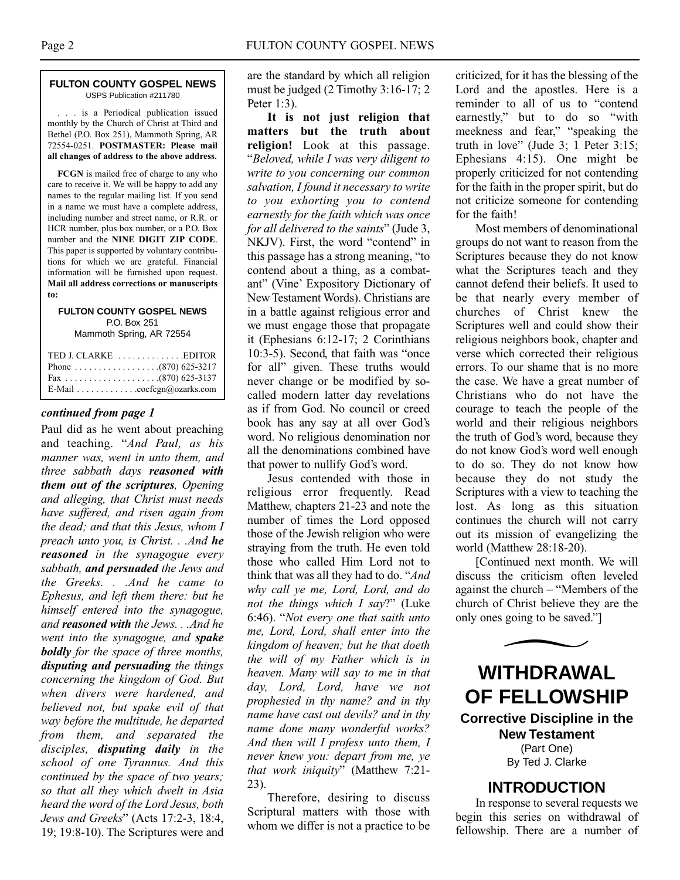#### **FULTON COUNTY GOSPEL NEWS** USPS Publication #211780

. . . is a Periodical publication issued monthly by the Church of Christ at Third and Bethel (P.O. Box 251), Mammoth Spring, AR 72554-0251. **POSTMASTER: Please mail all changes of address to the above address.**

**FCGN** is mailed free of charge to any who care to receive it. We will be happy to add any names to the regular mailing list. If you send in a name we must have a complete address, including number and street name, or R.R. or HCR number, plus box number, or a P.O. Box number and the **NINE DIGIT ZIP CODE**. This paper is supported by voluntary contributions for which we are grateful. Financial information will be furnished upon request. **Mail all address corrections or manuscripts to:**

#### **FULTON COUNTY GOSPEL NEWS** P.O. Box 251

Mammoth Spring, AR 72554

| TED J. CLARKE EDITOR      |  |
|---------------------------|--|
|                           |  |
|                           |  |
| E-Mail cocfcgn@ozarks.com |  |

#### *continued from page 1*

Paul did as he went about preaching and teaching. "*And Paul, as his manner was, went in unto them, and three sabbath days reasoned with them out of the scriptures, Opening and alleging, that Christ must needs have suffered, and risen again from the dead; and that this Jesus, whom I preach unto you, is Christ. . .And he reasoned in the synagogue every sabbath, and persuaded the Jews and the Greeks. . .And he came to Ephesus, and left them there: but he himself entered into the synagogue, and reasoned with the Jews. . .And he went into the synagogue, and spake boldly for the space of three months, disputing and persuading the things concerning the kingdom of God. But when divers were hardened, and believed not, but spake evil of that way before the multitude, he departed from them, and separated the disciples, disputing daily in the school of one Tyrannus. And this continued by the space of two years; so that all they which dwelt in Asia heard the word of the Lord Jesus, both Jews and Greeks*" (Acts 17:2-3, 18:4, 19; 19:8-10). The Scriptures were and are the standard by which all religion must be judged (2 Timothy 3:16-17; 2 Peter 1:3).

**It is not just religion that matters but the truth about religion!** Look at this passage. "*Beloved, while I was very diligent to write to you concerning our common salvation, I found it necessary to write to you exhorting you to contend earnestly for the faith which was once for all delivered to the saints*" (Jude 3, NKJV). First, the word "contend" in this passage has a strong meaning, "to contend about a thing, as a combatant" (Vine' Expository Dictionary of New Testament Words). Christians are in a battle against religious error and we must engage those that propagate it (Ephesians 6:12-17; 2 Corinthians 10:3-5). Second, that faith was "once for all" given. These truths would never change or be modified by socalled modern latter day revelations as if from God. No council or creed book has any say at all over God's word. No religious denomination nor all the denominations combined have that power to nullify God's word.

Jesus contended with those in religious error frequently. Read Matthew, chapters 21-23 and note the number of times the Lord opposed those of the Jewish religion who were straying from the truth. He even told those who called Him Lord not to think that was all they had to do. "*And why call ye me, Lord, Lord, and do not the things which I say*?" (Luke 6:46). "*Not every one that saith unto me, Lord, Lord, shall enter into the kingdom of heaven; but he that doeth the will of my Father which is in heaven. Many will say to me in that day, Lord, Lord, have we not prophesied in thy name? and in thy name have cast out devils? and in thy name done many wonderful works? And then will I profess unto them, I never knew you: depart from me, ye that work iniquity*" (Matthew 7:21- 23).

Therefore, desiring to discuss Scriptural matters with those with whom we differ is not a practice to be

criticized, for it has the blessing of the Lord and the apostles. Here is a reminder to all of us to "contend earnestly," but to do so "with meekness and fear," "speaking the truth in love" (Jude 3; 1 Peter 3:15; Ephesians 4:15). One might be properly criticized for not contending for the faith in the proper spirit, but do not criticize someone for contending for the faith!

Most members of denominational groups do not want to reason from the Scriptures because they do not know what the Scriptures teach and they cannot defend their beliefs. It used to be that nearly every member of churches of Christ knew the Scriptures well and could show their religious neighbors book, chapter and verse which corrected their religious errors. To our shame that is no more the case. We have a great number of Christians who do not have the courage to teach the people of the world and their religious neighbors the truth of God's word, because they do not know God's word well enough to do so. They do not know how because they do not study the Scriptures with a view to teaching the lost. As long as this situation continues the church will not carry out its mission of evangelizing the world (Matthew 28:18-20).

[Continued next month. We will discuss the criticism often leveled against the church – "Members of the church of Christ believe they are the



#### **INTRODUCTION**

In response to several requests we begin this series on withdrawal of fellowship. There are a number of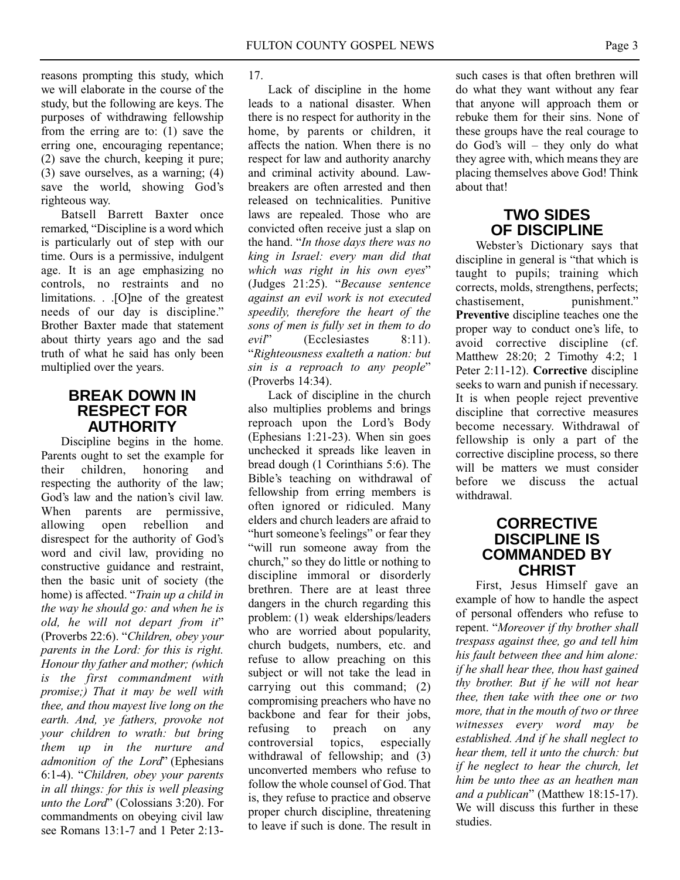reasons prompting this study, which we will elaborate in the course of the study, but the following are keys. The purposes of withdrawing fellowship from the erring are to: (1) save the erring one, encouraging repentance; (2) save the church, keeping it pure; (3) save ourselves, as a warning; (4) save the world, showing God's righteous way.

Batsell Barrett Baxter once remarked, "Discipline is a word which is particularly out of step with our time. Ours is a permissive, indulgent age. It is an age emphasizing no controls, no restraints and no limitations. . .[O]ne of the greatest needs of our day is discipline." Brother Baxter made that statement about thirty years ago and the sad truth of what he said has only been multiplied over the years.

#### **BREAK DOWN IN RESPECT FOR AUTHORITY**

Discipline begins in the home. Parents ought to set the example for their children, honoring and respecting the authority of the law; God's law and the nation's civil law. When parents are permissive, allowing open rebellion and disrespect for the authority of God's word and civil law, providing no constructive guidance and restraint, then the basic unit of society (the home) is affected. "*Train up a child in the way he should go: and when he is old, he will not depart from it*" (Proverbs 22:6). "*Children, obey your parents in the Lord: for this is right. Honour thy father and mother; (which is the first commandment with promise;) That it may be well with thee, and thou mayest live long on the earth. And, ye fathers, provoke not your children to wrath: but bring them up in the nurture and admonition of the Lord*" (Ephesians 6:1-4). "*Children, obey your parents in all things: for this is well pleasing unto the Lord*" (Colossians 3:20). For commandments on obeying civil law see Romans 13:1-7 and 1 Peter 2:1317.

Lack of discipline in the home leads to a national disaster. When there is no respect for authority in the home, by parents or children, it affects the nation. When there is no respect for law and authority anarchy and criminal activity abound. Lawbreakers are often arrested and then released on technicalities. Punitive laws are repealed. Those who are convicted often receive just a slap on the hand. "*In those days there was no king in Israel: every man did that which was right in his own eyes*" (Judges 21:25). "*Because sentence against an evil work is not executed speedily, therefore the heart of the sons of men is fully set in them to do evil*" (Ecclesiastes 8:11). "*Righteousness exalteth a nation: but sin is a reproach to any people*" (Proverbs 14:34).

Lack of discipline in the church also multiplies problems and brings reproach upon the Lord's Body (Ephesians 1:21-23). When sin goes unchecked it spreads like leaven in bread dough (1 Corinthians 5:6). The Bible's teaching on withdrawal of fellowship from erring members is often ignored or ridiculed. Many elders and church leaders are afraid to "hurt someone's feelings" or fear they "will run someone away from the church," so they do little or nothing to discipline immoral or disorderly brethren. There are at least three dangers in the church regarding this problem: (1) weak elderships/leaders who are worried about popularity, church budgets, numbers, etc. and refuse to allow preaching on this subject or will not take the lead in carrying out this command; (2) compromising preachers who have no backbone and fear for their jobs, refusing to preach on any controversial topics, especially withdrawal of fellowship; and (3) unconverted members who refuse to follow the whole counsel of God. That is, they refuse to practice and observe proper church discipline, threatening to leave if such is done. The result in such cases is that often brethren will do what they want without any fear that anyone will approach them or rebuke them for their sins. None of these groups have the real courage to do God's will – they only do what they agree with, which means they are placing themselves above God! Think about that!

# **TWO SIDES OF DISCIPLINE**

Webster's Dictionary says that discipline in general is "that which is taught to pupils; training which corrects, molds, strengthens, perfects; chastisement, punishment." **Preventive** discipline teaches one the proper way to conduct one's life, to avoid corrective discipline (cf. Matthew 28:20; 2 Timothy 4:2; 1 Peter 2:11-12). **Corrective** discipline seeks to warn and punish if necessary. It is when people reject preventive discipline that corrective measures become necessary. Withdrawal of fellowship is only a part of the corrective discipline process, so there will be matters we must consider before we discuss the actual withdrawal.

### **CORRECTIVE DISCIPLINE IS COMMANDED BY CHRIST**

First, Jesus Himself gave an example of how to handle the aspect of personal offenders who refuse to repent. "*Moreover if thy brother shall trespass against thee, go and tell him his fault between thee and him alone: if he shall hear thee, thou hast gained thy brother. But if he will not hear thee, then take with thee one or two more, that in the mouth of two or three witnesses every word may be established. And if he shall neglect to hear them, tell it unto the church: but if he neglect to hear the church, let him be unto thee as an heathen man and a publican*" (Matthew 18:15-17). We will discuss this further in these studies.